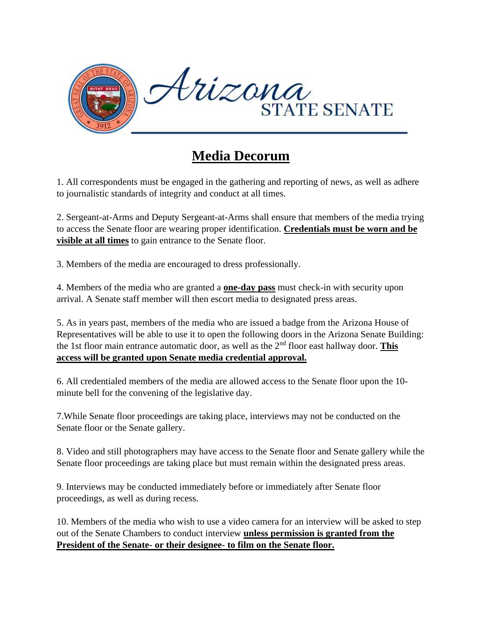

## **Media Decorum**

1. All correspondents must be engaged in the gathering and reporting of news, as well as adhere to journalistic standards of integrity and conduct at all times.

2. Sergeant-at-Arms and Deputy Sergeant-at-Arms shall ensure that members of the media trying to access the Senate floor are wearing proper identification. **Credentials must be worn and be visible at all times** to gain entrance to the Senate floor.

3. Members of the media are encouraged to dress professionally.

4. Members of the media who are granted a **one-day pass** must check-in with security upon arrival. A Senate staff member will then escort media to designated press areas.

5. As in years past, members of the media who are issued a badge from the Arizona House of Representatives will be able to use it to open the following doors in the Arizona Senate Building: the 1st floor main entrance automatic door, as well as the  $2<sup>nd</sup>$  floor east hallway door. **This access will be granted upon Senate media credential approval.**

6. All credentialed members of the media are allowed access to the Senate floor upon the 10 minute bell for the convening of the legislative day.

7.While Senate floor proceedings are taking place, interviews may not be conducted on the Senate floor or the Senate gallery.

8. Video and still photographers may have access to the Senate floor and Senate gallery while the Senate floor proceedings are taking place but must remain within the designated press areas.

9. Interviews may be conducted immediately before or immediately after Senate floor proceedings, as well as during recess.

10. Members of the media who wish to use a video camera for an interview will be asked to step out of the Senate Chambers to conduct interview **unless permission is granted from the President of the Senate- or their designee- to film on the Senate floor.**